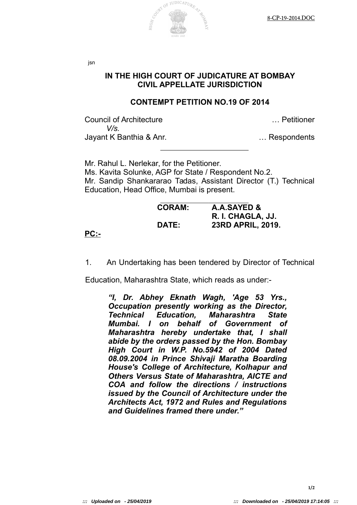

jsn

## **IN THE HIGH COURT OF JUDICATURE AT BOMBAY CIVIL APPELLATE JURISDICTION**

## **CONTEMPT PETITION NO.19 OF 2014**

Council of Architecture … Petitioner *V/s.* Jayant K Banthia & Anr. … Respondents

Mr. Rahul L. Nerlekar, for the Petitioner. Ms. Kavita Solunke, AGP for State / Respondent No.2. Mr. Sandip Shankararao Tadas, Assistant Director (T.) Technical Education, Head Office, Mumbai is present.

| <b>CORAM:</b> | A.A.SAYED &       |
|---------------|-------------------|
|               | R. I. CHAGLA, JJ. |
| <b>DATE:</b>  | 23RD APRIL, 2019. |

**PC:-**

1. An Undertaking has been tendered by Director of Technical

Education, Maharashtra State, which reads as under:-

*"I, Dr. Abhey Eknath Wagh, 'Age 53 Yrs., Occupation presently working as the Director, Technical Education, Maharashtra State Mumbai. I on behalf of Government of Maharashtra hereby undertake that, I shall abide by the orders passed by the Hon. Bombay High Court in W.P. No.5942 of 2004 Dated 08.09.2004 in Prince Shivaji Maratha Boarding House's College of Architecture, Kolhapur and Others Versus State of Maharashtra, AICTE and COA and follow the directions / instructions issued by the Council of Architecture under the Architects Act, 1972 and Rules and Regulations and Guidelines framed there under."*